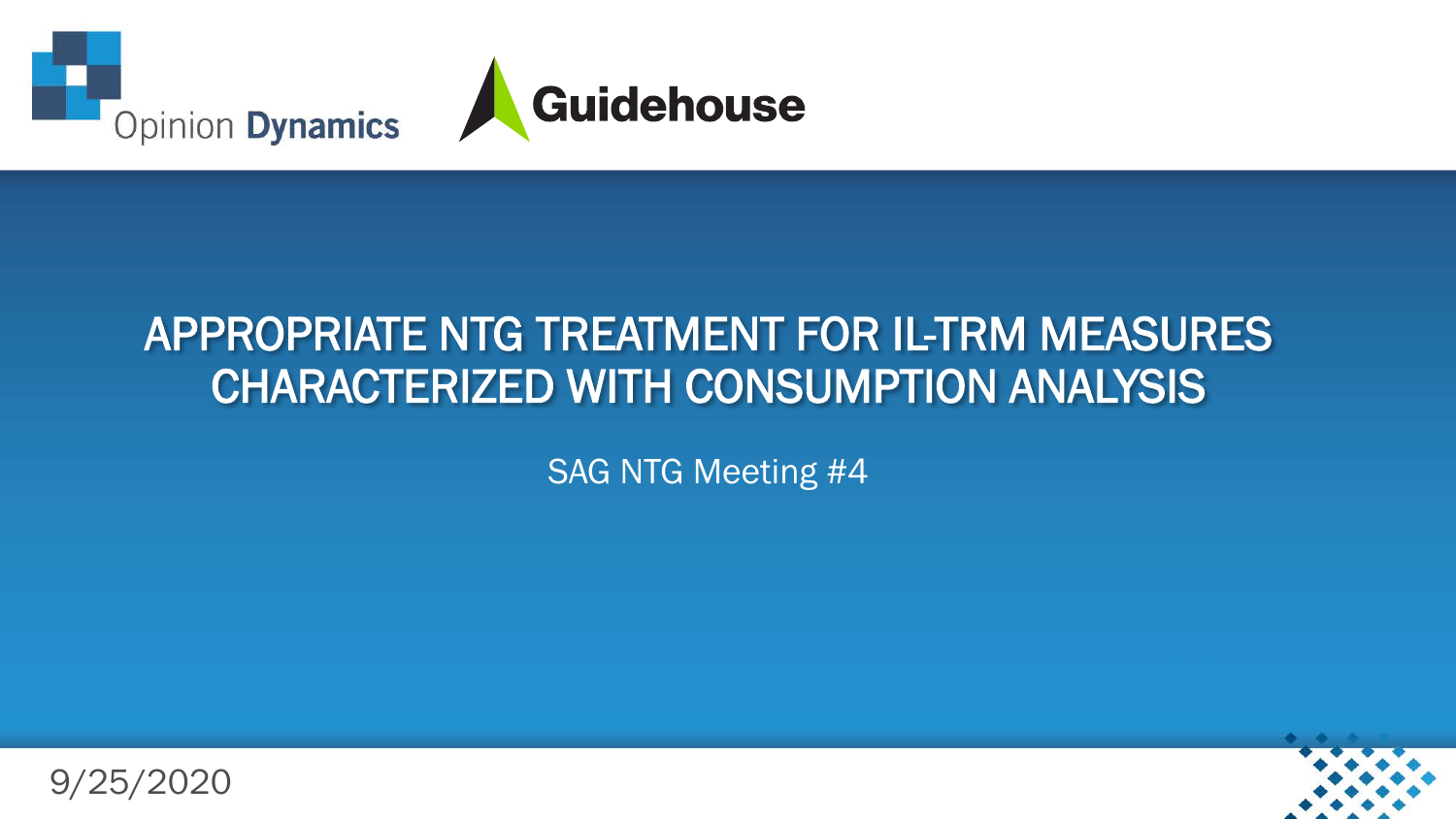

#### APPROPRIATE NTG TREATMENT FOR IL-TRM MEASURES CHARACTERIZED WITH CONSUMPTION ANALYSIS

SAG NTG Meeting #4

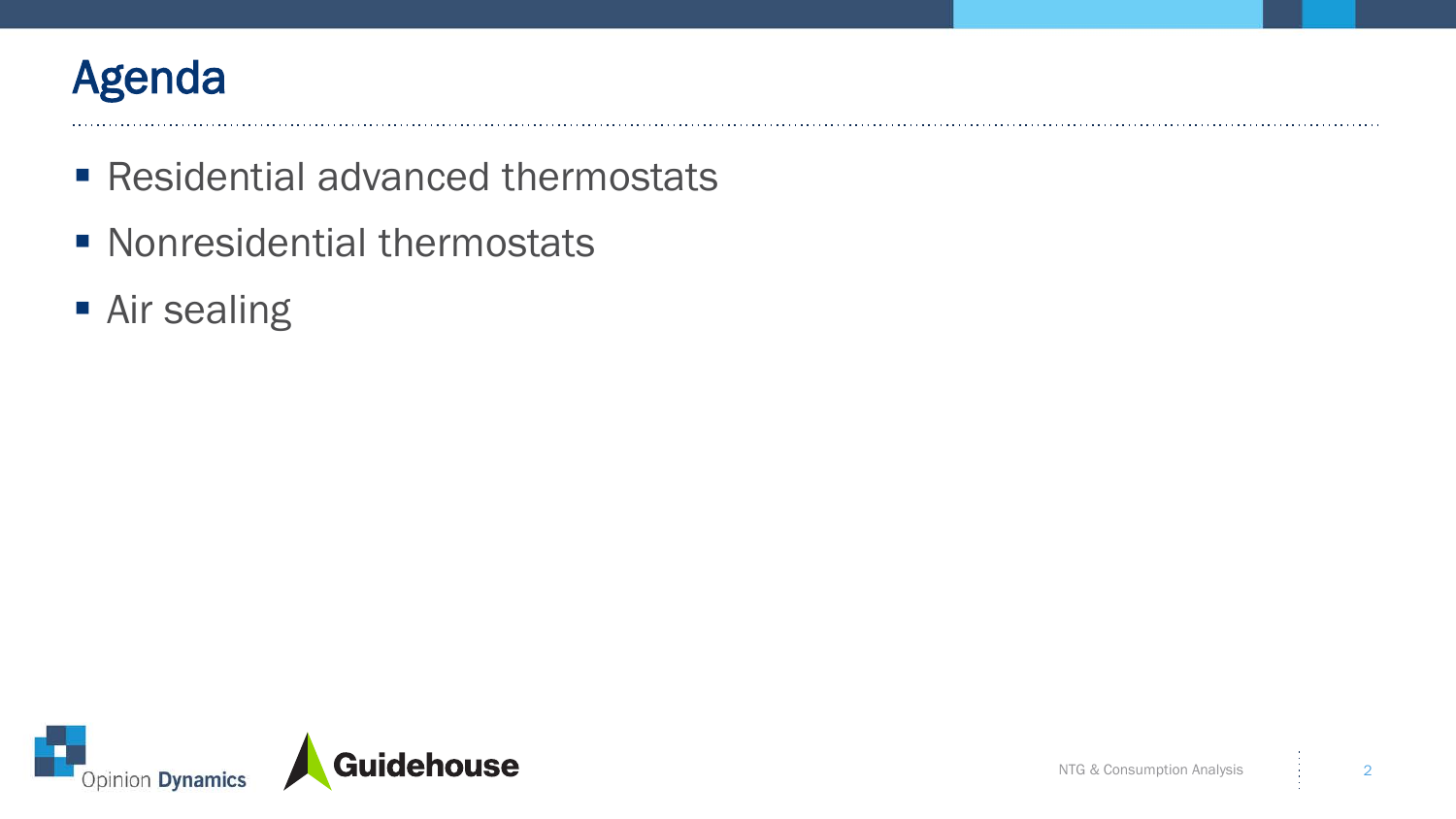

- Residential advanced thermostats
- **Nonresidential thermostats**
- **Air sealing**

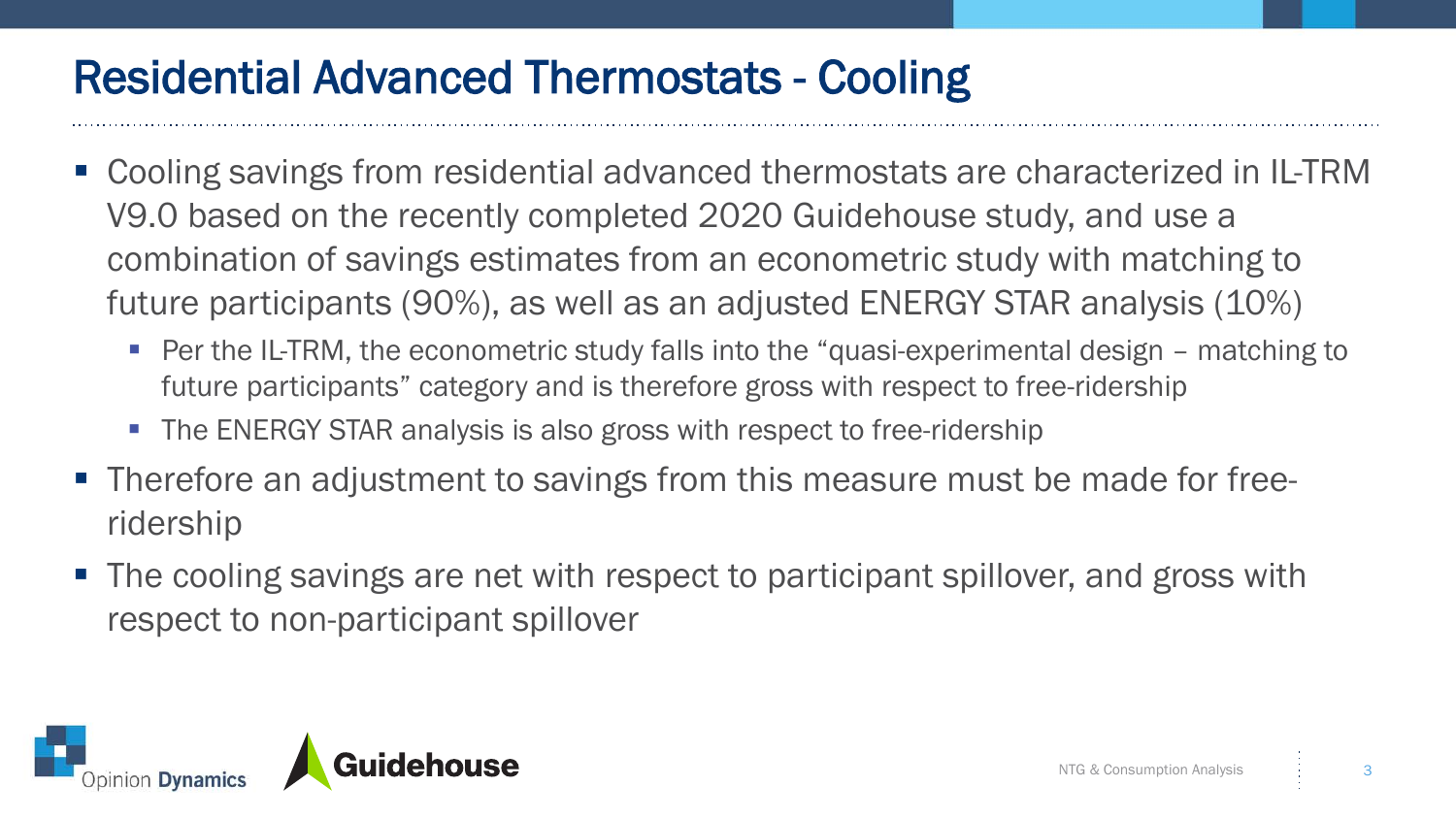# Residential Advanced Thermostats - Cooling

- Cooling savings from residential advanced thermostats are characterized in IL-TRM V9.0 based on the recently completed 2020 Guidehouse study, and use a combination of savings estimates from an econometric study with matching to future participants (90%), as well as an adjusted ENERGY STAR analysis (10%)
	- Per the IL-TRM, the econometric study falls into the "quasi-experimental design matching to future participants" category and is therefore gross with respect to free-ridership
	- The ENERGY STAR analysis is also gross with respect to free-ridership
- **Therefore an adjustment to savings from this measure must be made for free**ridership
- The cooling savings are net with respect to participant spillover, and gross with respect to non-participant spillover

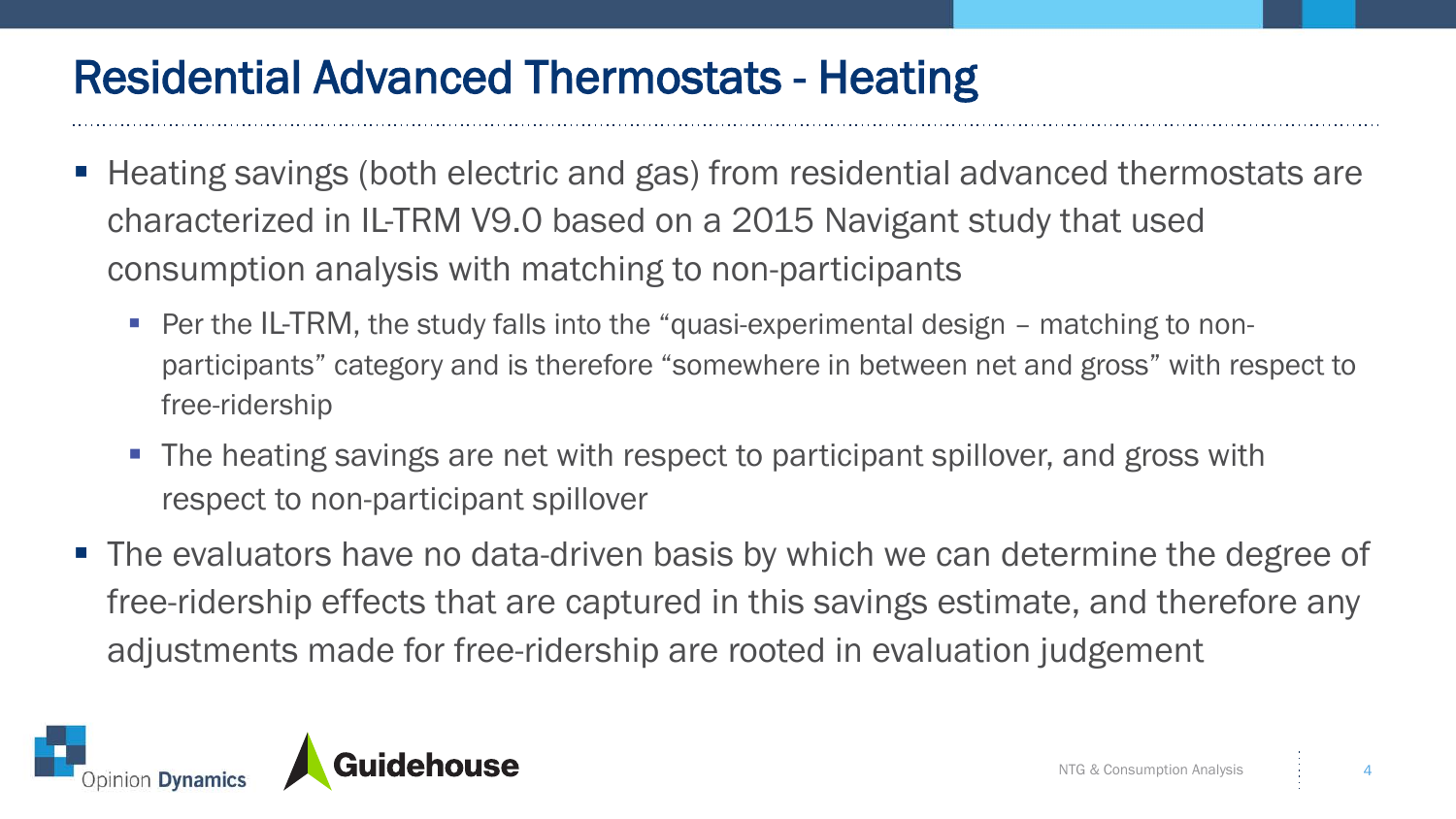### Residential Advanced Thermostats - Heating

- Heating savings (both electric and gas) from residential advanced thermostats are characterized in IL-TRM V9.0 based on a 2015 Navigant study that used consumption analysis with matching to non-participants
	- Per the IL-TRM, the study falls into the "quasi-experimental design matching to nonparticipants" category and is therefore "somewhere in between net and gross" with respect to free-ridership
	- The heating savings are net with respect to participant spillover, and gross with respect to non-participant spillover
- The evaluators have no data-driven basis by which we can determine the degree of free-ridership effects that are captured in this savings estimate, and therefore any adjustments made for free-ridership are rooted in evaluation judgement

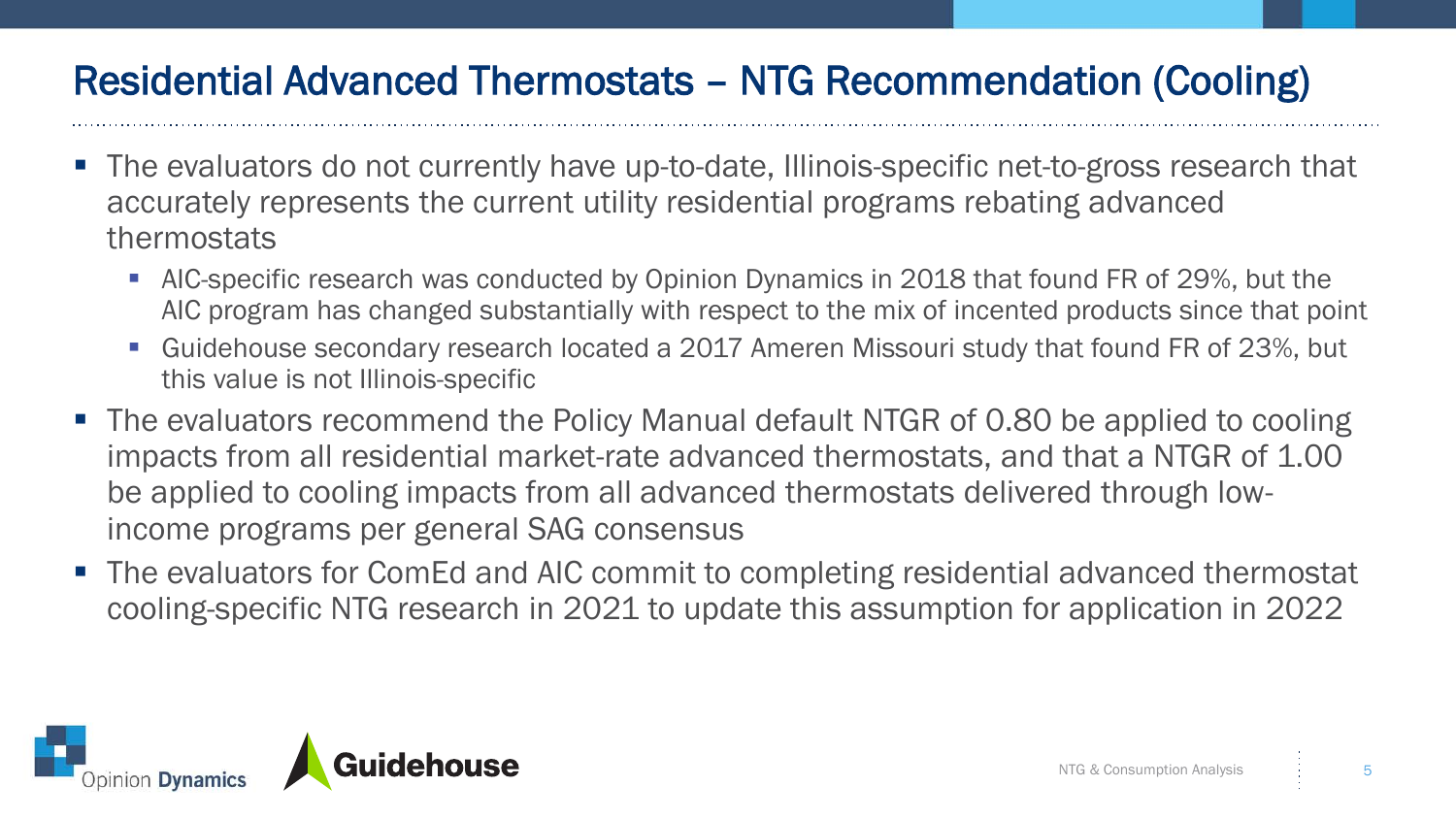#### Residential Advanced Thermostats – NTG Recommendation (Cooling)

- The evaluators do not currently have up-to-date, Illinois-specific net-to-gross research that accurately represents the current utility residential programs rebating advanced thermostats
	- **AIC-specific research was conducted by Opinion Dynamics in 2018 that found FR of 29%, but the** AIC program has changed substantially with respect to the mix of incented products since that point
	- Guidehouse secondary research located a 2017 Ameren Missouri study that found FR of 23%, but this value is not Illinois-specific
- The evaluators recommend the Policy Manual default NTGR of 0.80 be applied to cooling impacts from all residential market-rate advanced thermostats, and that a NTGR of 1.00 be applied to cooling impacts from all advanced thermostats delivered through lowincome programs per general SAG consensus
- The evaluators for ComEd and AIC commit to completing residential advanced thermostat cooling-specific NTG research in 2021 to update this assumption for application in 2022

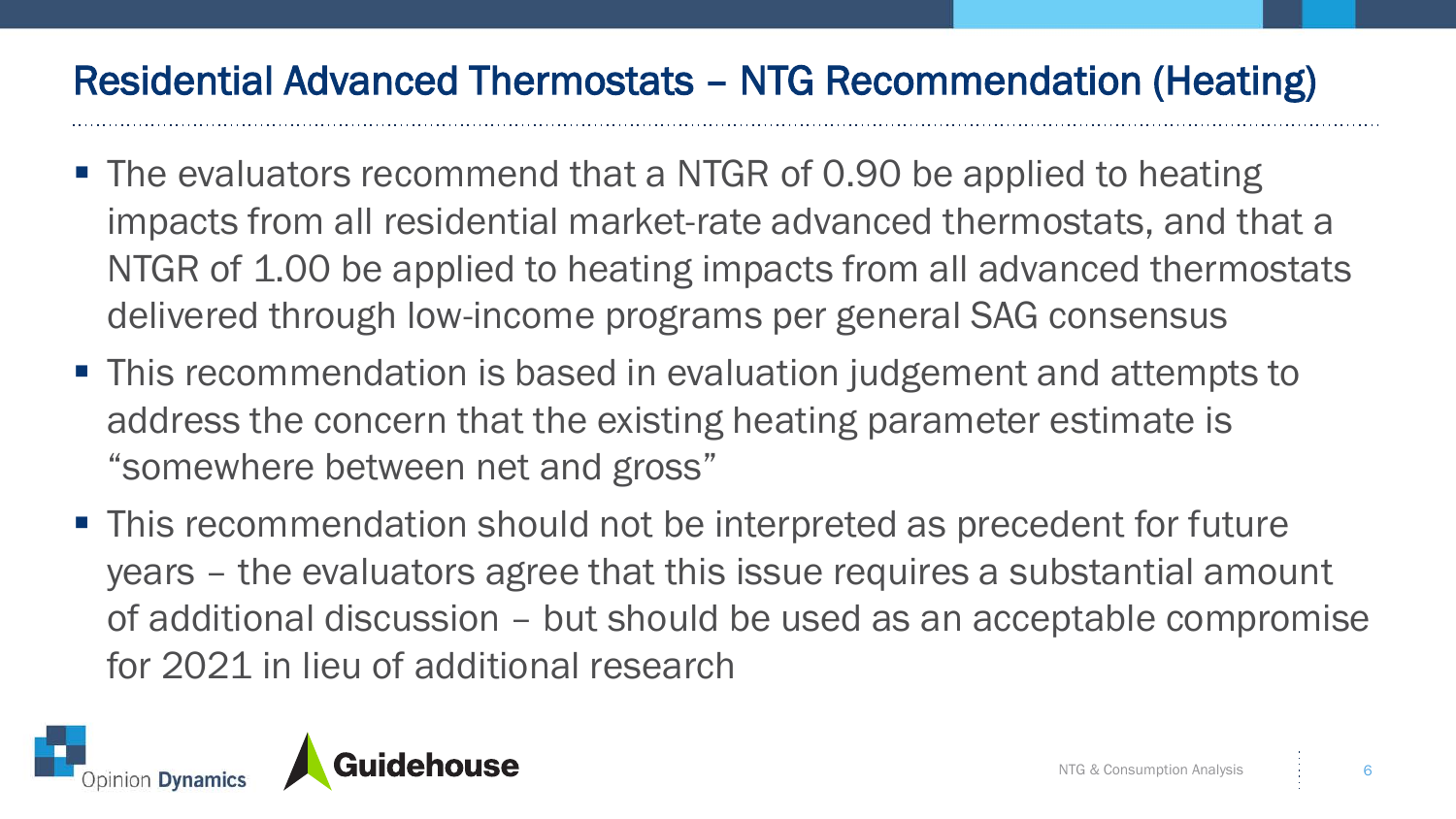#### Residential Advanced Thermostats – NTG Recommendation (Heating)

- The evaluators recommend that a NTGR of 0.90 be applied to heating impacts from all residential market-rate advanced thermostats, and that a NTGR of 1.00 be applied to heating impacts from all advanced thermostats delivered through low-income programs per general SAG consensus
- This recommendation is based in evaluation judgement and attempts to address the concern that the existing heating parameter estimate is "somewhere between net and gross"
- This recommendation should not be interpreted as precedent for future years – the evaluators agree that this issue requires a substantial amount of additional discussion – but should be used as an acceptable compromise for 2021 in lieu of additional research

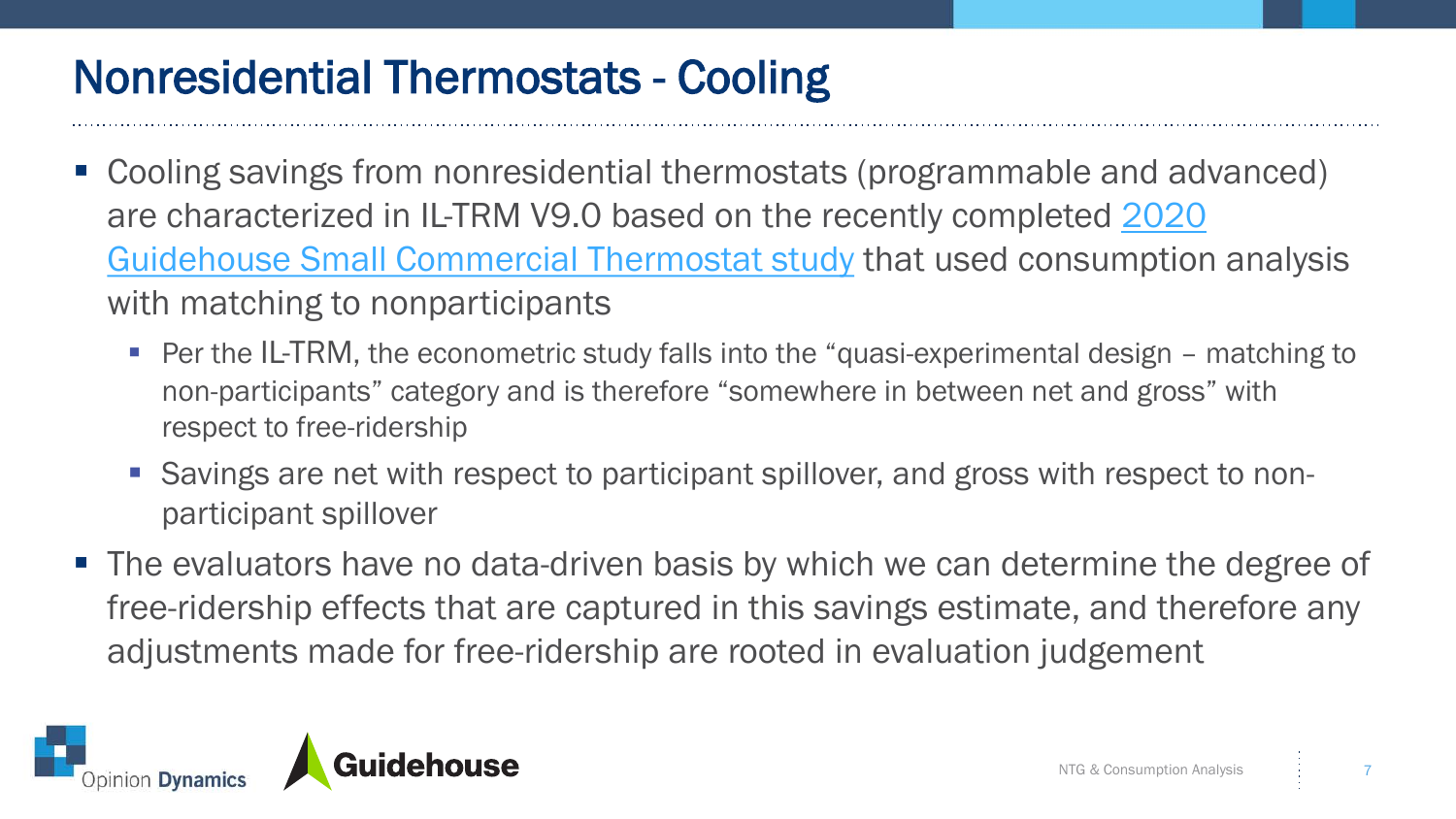#### Nonresidential Thermostats - Cooling

- Cooling savings from nonresidential thermostats (programmable and advanced) [are characterized in IL-TRM V9.0 based on the recently completed 2020](https://ilsag.s3.amazonaws.com/ComEd-2019-Small-Commercial-Tstat-Study_Final_May-2020.pdf)  Guidehouse Small Commercial Thermostat study that used consumption analysis with matching to nonparticipants
	- Per the IL-TRM, the econometric study falls into the "quasi-experimental design matching to non-participants" category and is therefore "somewhere in between net and gross" with respect to free-ridership
	- Savings are net with respect to participant spillover, and gross with respect to nonparticipant spillover
- The evaluators have no data-driven basis by which we can determine the degree of free-ridership effects that are captured in this savings estimate, and therefore any adjustments made for free-ridership are rooted in evaluation judgement

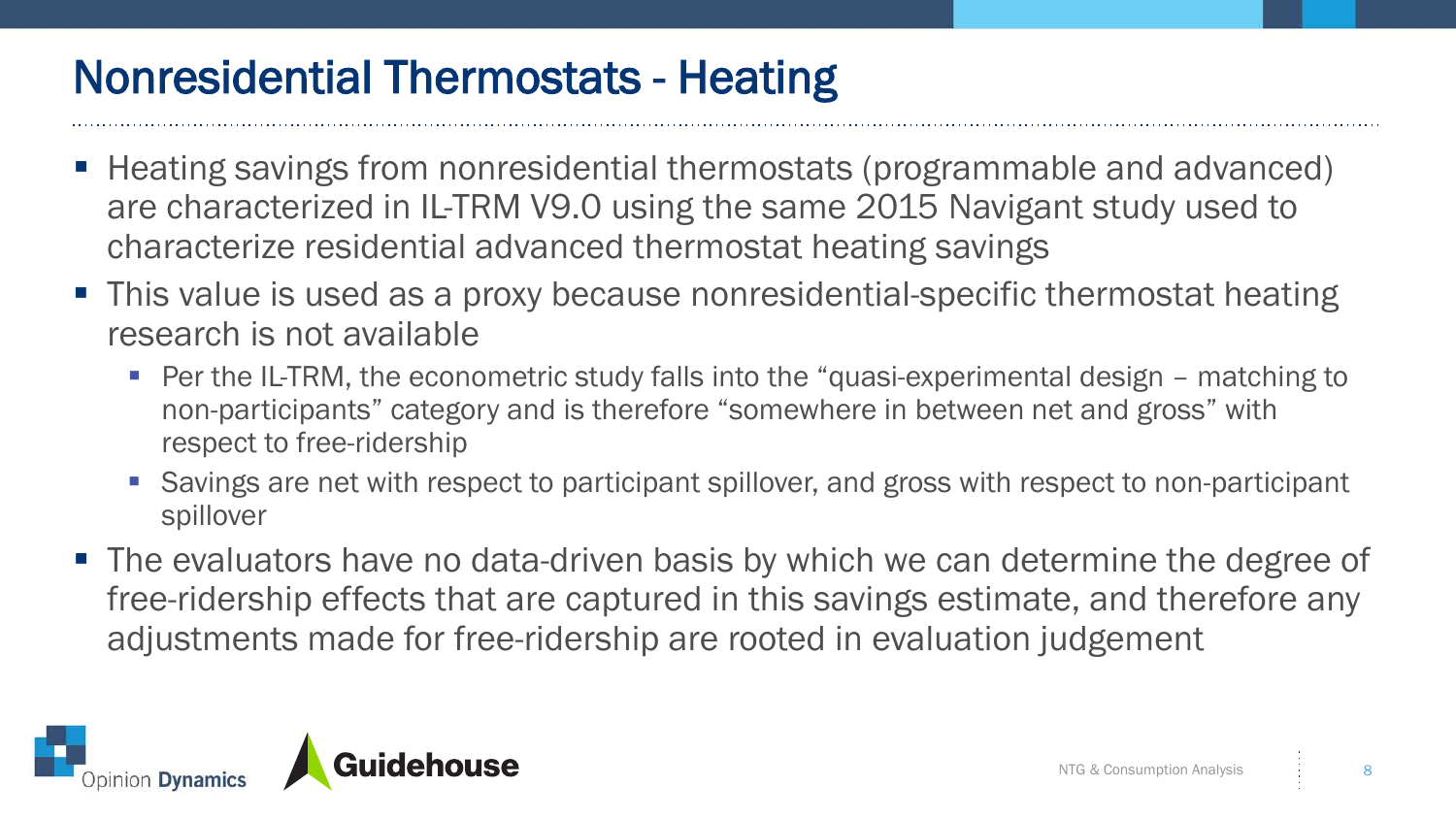### Nonresidential Thermostats - Heating

- Heating savings from nonresidential thermostats (programmable and advanced) are characterized in IL-TRM V9.0 using the same 2015 Navigant study used to characterize residential advanced thermostat heating savings
- This value is used as a proxy because nonresidential-specific thermostat heating research is not available
	- Per the IL-TRM, the econometric study falls into the "quasi-experimental design matching to non-participants" category and is therefore "somewhere in between net and gross" with respect to free-ridership
	- Savings are net with respect to participant spillover, and gross with respect to non-participant spillover
- The evaluators have no data-driven basis by which we can determine the degree of free-ridership effects that are captured in this savings estimate, and therefore any adjustments made for free-ridership are rooted in evaluation judgement

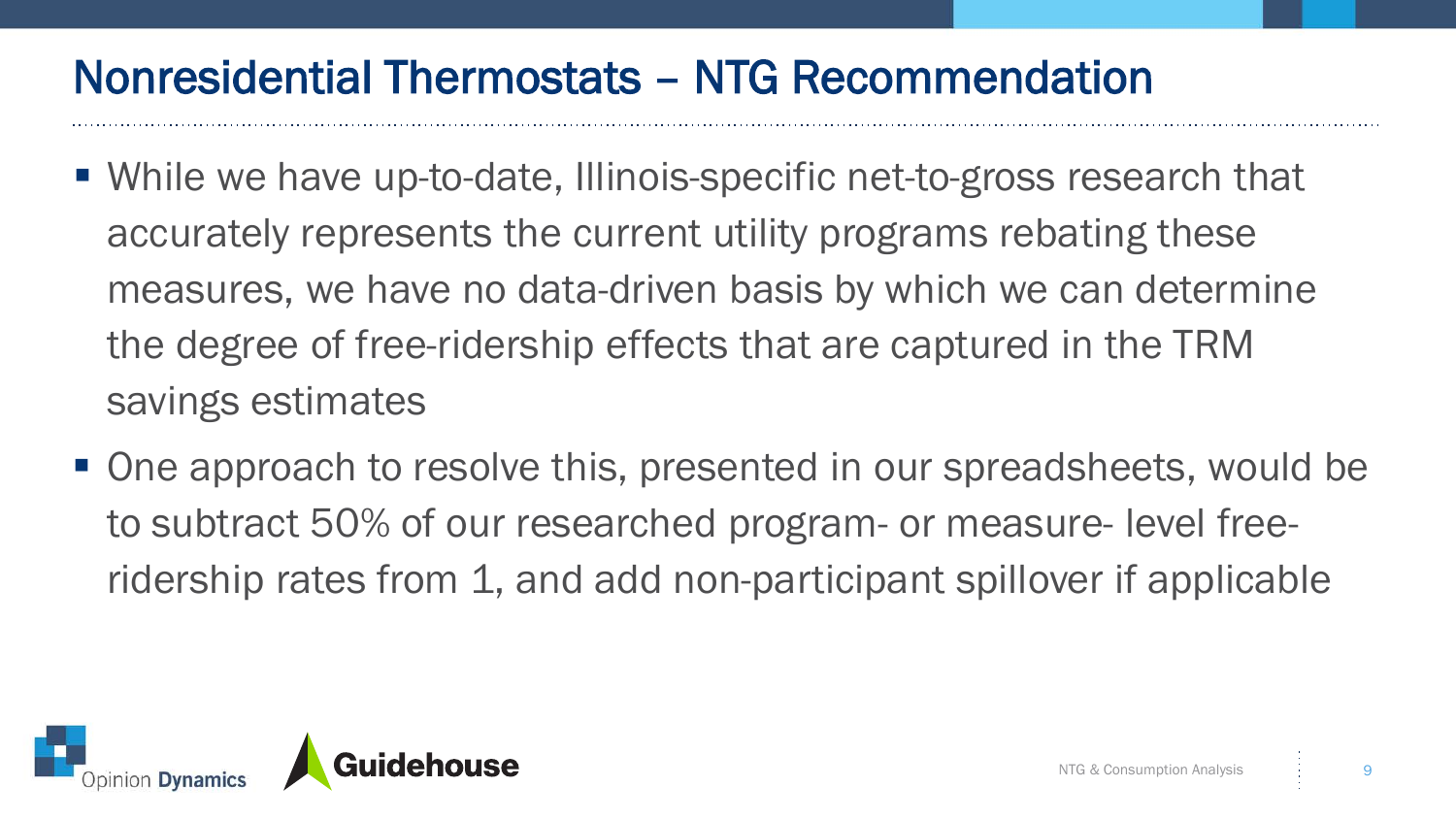#### Nonresidential Thermostats – NTG Recommendation

- While we have up-to-date, Illinois-specific net-to-gross research that accurately represents the current utility programs rebating these measures, we have no data-driven basis by which we can determine the degree of free-ridership effects that are captured in the TRM savings estimates
- One approach to resolve this, presented in our spreadsheets, would be to subtract 50% of our researched program- or measure- level freeridership rates from 1, and add non-participant spillover if applicable

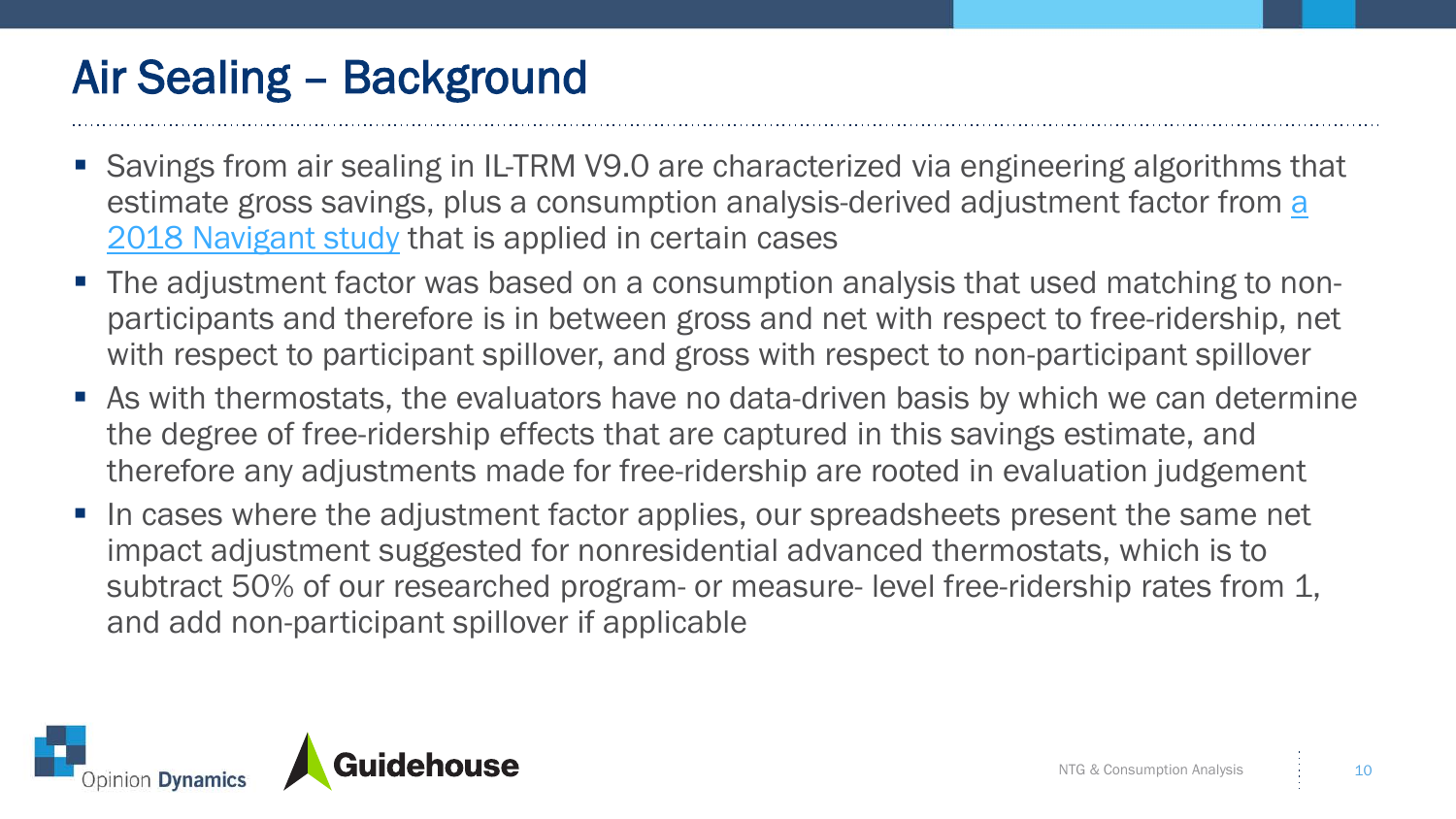# Air Sealing – Background

- Savings from air sealing in IL-TRM V9.0 are characterized via engineering algorithms that [estimate gross savings, plus a consumption analysis-derived adjustment factor from a](https://ilsag.s3.amazonaws.com/ComEd_and_Nicor_Gas_Air_Sealing_and_Insulation_Research_Final_2018-09-24.pdf)  2018 Navigant study that is applied in certain cases
- The adjustment factor was based on a consumption analysis that used matching to nonparticipants and therefore is in between gross and net with respect to free-ridership, net with respect to participant spillover, and gross with respect to non-participant spillover
- As with thermostats, the evaluators have no data-driven basis by which we can determine the degree of free-ridership effects that are captured in this savings estimate, and therefore any adjustments made for free-ridership are rooted in evaluation judgement
- In cases where the adjustment factor applies, our spreadsheets present the same net impact adjustment suggested for nonresidential advanced thermostats, which is to subtract 50% of our researched program- or measure- level free-ridership rates from 1, and add non-participant spillover if applicable

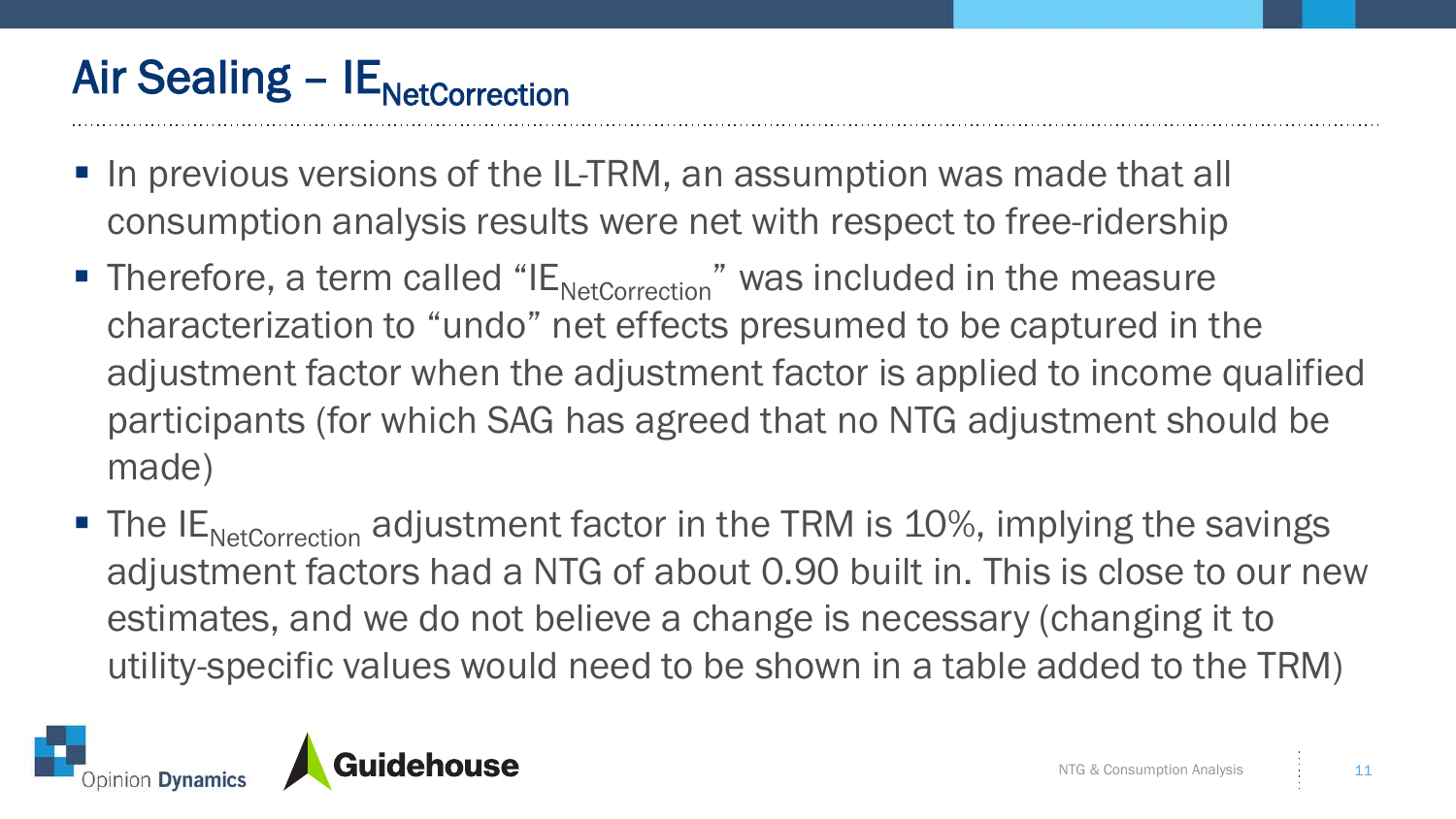# Air Sealing –  $IE<sub>NetCorrection</sub>$

- In previous versions of the IL-TRM, an assumption was made that all consumption analysis results were net with respect to free-ridership
- Therefore, a term called " $E_{\text{NetCorrection}}$ " was included in the measure characterization to "undo" net effects presumed to be captured in the adjustment factor when the adjustment factor is applied to income qualified participants (for which SAG has agreed that no NTG adjustment should be made)
- $\blacksquare$  The IE<sub>NetCorrection</sub> adjustment factor in the TRM is 10%, implying the savings adjustment factors had a NTG of about 0.90 built in. This is close to our new estimates, and we do not believe a change is necessary (changing it to utility-specific values would need to be shown in a table added to the TRM)

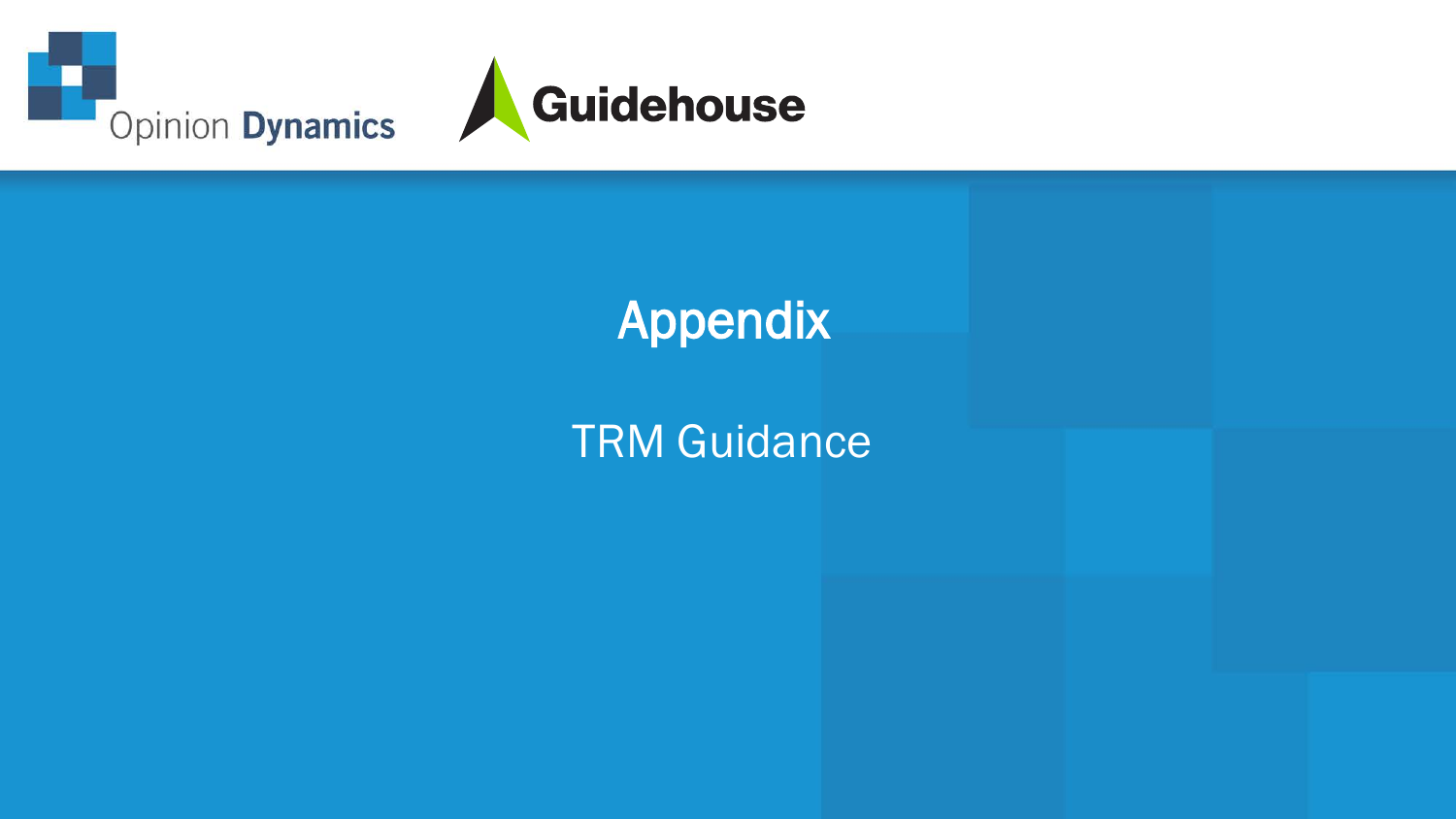



# Appendix

#### TRM Guidance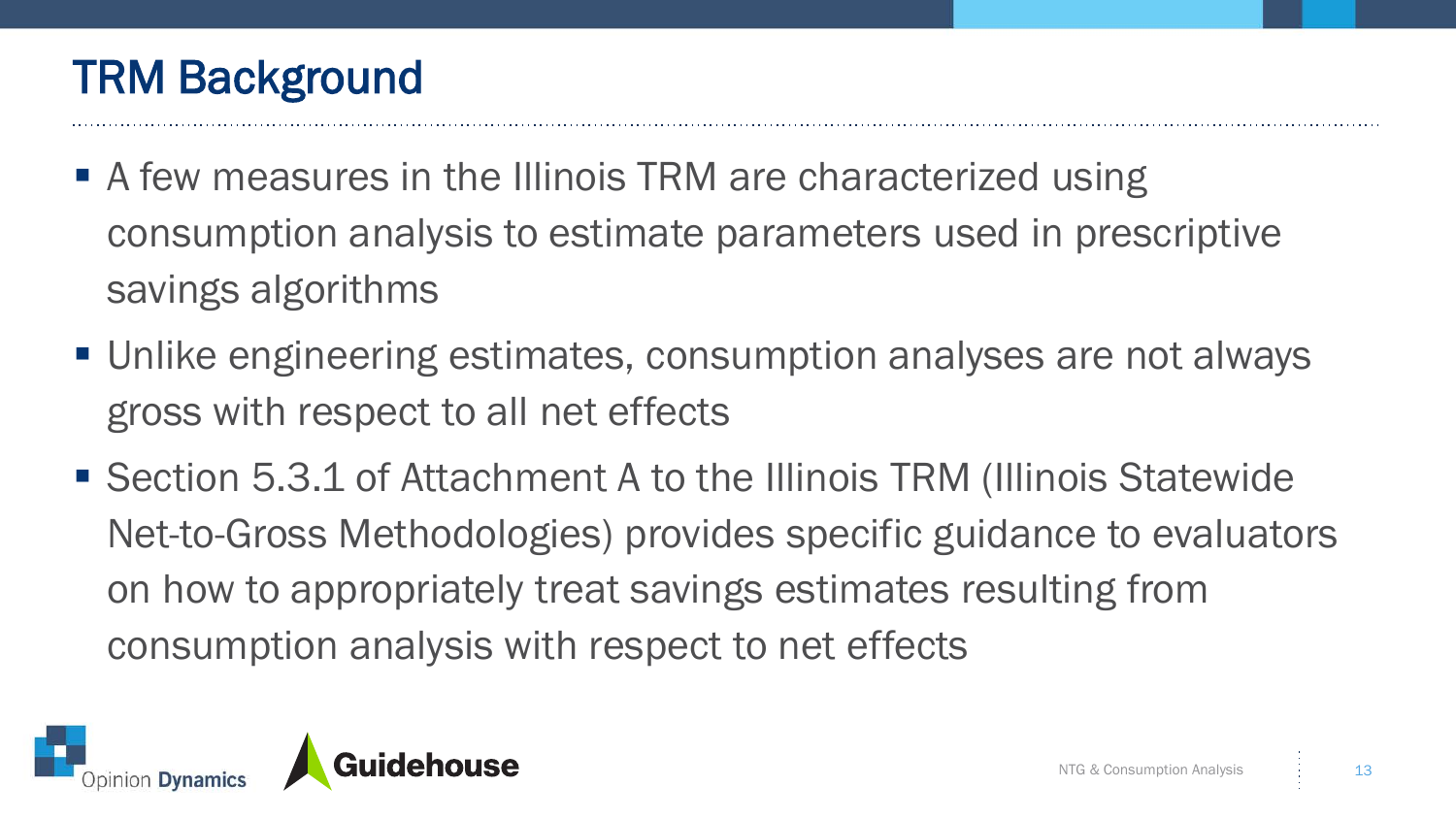## TRM Background

- A few measures in the Illinois TRM are characterized using consumption analysis to estimate parameters used in prescriptive savings algorithms
- Unlike engineering estimates, consumption analyses are not always gross with respect to all net effects
- Section 5.3.1 of Attachment A to the Illinois TRM (Illinois Statewide Net-to-Gross Methodologies) provides specific guidance to evaluators on how to appropriately treat savings estimates resulting from consumption analysis with respect to net effects

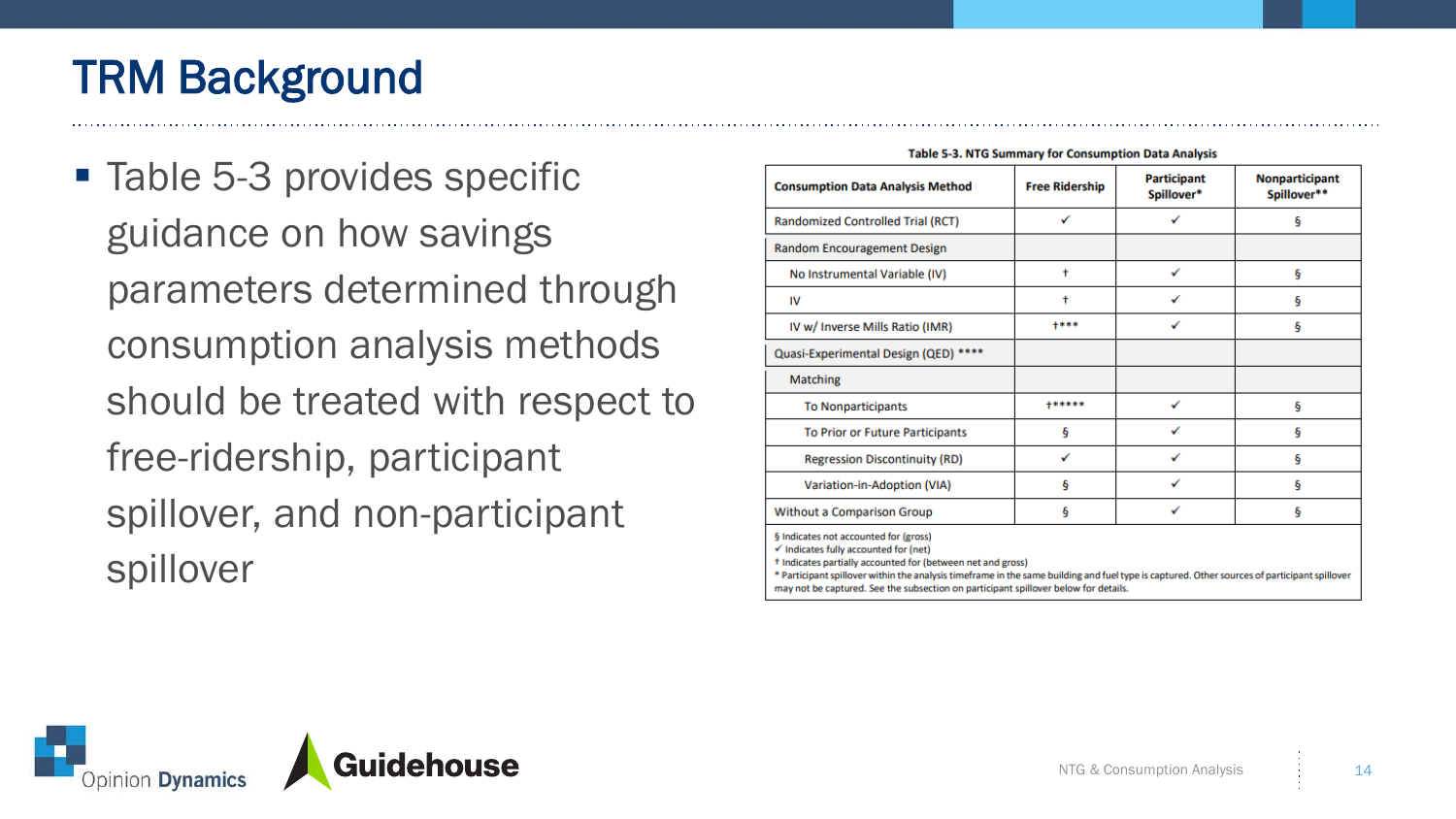# TRM Background

■ Table 5-3 provides specific guidance on how savings parameters determined through consumption analysis methods should be treated with respect to free-ridership, participant spillover, and non-participant spillover

| <b>Consumption Data Analysis Method</b> | <b>Free Ridership</b> | <b>Participant</b><br>Spillover* | Nonparticipant<br>Spillover** |
|-----------------------------------------|-----------------------|----------------------------------|-------------------------------|
| Randomized Controlled Trial (RCT)       | ✓                     |                                  | ş                             |
| Random Encouragement Design             |                       |                                  |                               |
| No Instrumental Variable (IV)           | $\ddot{}$             | ✓                                | ş                             |
| IV                                      | t                     | ✓                                | Ş                             |
| IV w/ Inverse Mills Ratio (IMR)         | $+***$                |                                  | ş                             |
| Quasi-Experimental Design (QED) ****    |                       |                                  |                               |
| Matching                                |                       |                                  |                               |
| <b>To Nonparticipants</b>               | $+******$             | ✓                                | ş                             |
| <b>To Prior or Future Participants</b>  | ş                     | ✓                                | ş                             |
| <b>Regression Discontinuity (RD)</b>    | ✓                     | ✓                                | Ş                             |
| Variation-in-Adoption (VIA)             | ş                     | ✓                                | ş                             |
| Without a Comparison Group              | ş                     | ✓                                | ş                             |

**Table 5-3. NTG Summary for Consumption Data Analysis** 

t Indicates partially accounted for (between net and gross)

\* Participant spillover within the analysis timeframe in the same building and fuel type is captured. Other sources of participant spillover may not be captured. See the subsection on participant spillover below for details